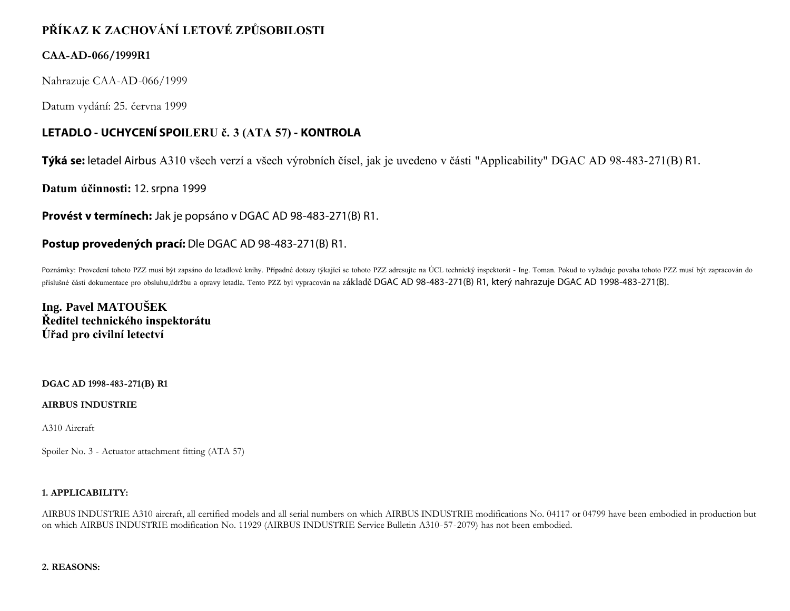# **PŘÍKAZ K ZACHOVÁNÍ LETOVÉ ZPŮSOBILOSTI**

### **CAA-AD-066/1999R1**

Nahrazuje CAA-AD-066/1999

Datum vydání: 25. června 1999

# **LETADLO - UCHYCENÍ SPOILERU č. 3 (ATA 57) - KONTROLA**

**Týká se:** letadel Airbus A310 všech verzí a všech výrobních čísel, jak je uvedeno v části "Applicability" DGAC AD 98-483-271(B) R1.

**Datum účinnosti:** 12. srpna 1999

**Provést v termínech:** Jak je popsáno v DGAC AD 98-483-271(B) R1.

## **Postup provedených prací:** Dle DGAC AD 98-483-271(B) R1.

Poznámky: Provedení tohoto PZZ musí být zapsáno do letadlové knihy. Případné dotazy týkající se tohoto PZZ adresujte na ÚCL technický inspektorát - Ing. Toman. Pokud to vyžaduje povaha tohoto PZZ musí být zapracován do příslušné části dokumentace pro obsluhu,údržbu a opravy letadla. Tento PZZ byl vypracován na základě DGAC AD 98-483-271(B) R1, který nahrazuje DGAC AD 1998-483-271(B).

**Ing. Pavel MATOUŠEK Ředitel technického inspektorátu Úřad pro civilní letectví**

#### **DGAC AD 1998-483-271(B) R1**

#### **AIRBUS INDUSTRIE**

A310 Aircraft

Spoiler No. 3 - Actuator attachment fitting (ATA 57)

#### **1. APPLICABILITY:**

AIRBUS INDUSTRIE A310 aircraft, all certified models and all serial numbers on which AIRBUS INDUSTRIE modifications No. 04117 or 04799 have been embodied in production but on which AIRBUS INDUSTRIE modification No. 11929 (AIRBUS INDUSTRIE Service Bulletin A310-57-2079) has not been embodied.

#### **2. REASONS:**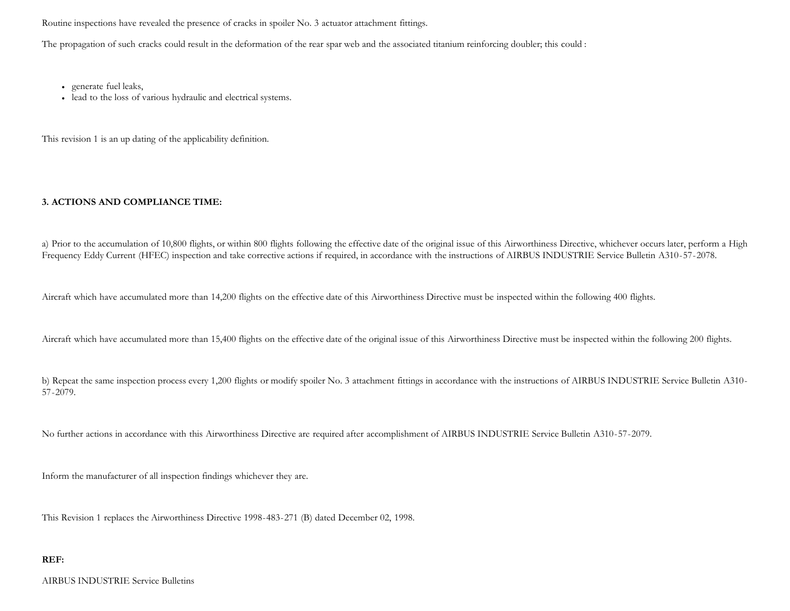Routine inspections have revealed the presence of cracks in spoiler No. 3 actuator attachment fittings.

The propagation of such cracks could result in the deformation of the rear spar web and the associated titanium reinforcing doubler; this could :

- generate fuel leaks,
- lead to the loss of various hydraulic and electrical systems.

This revision 1 is an up dating of the applicability definition.

#### **3. ACTIONS AND COMPLIANCE TIME:**

a) Prior to the accumulation of 10,800 flights, or within 800 flights following the effective date of the original issue of this Airworthiness Directive, whichever occurs later, perform a High Frequency Eddy Current (HFEC) inspection and take corrective actions if required, in accordance with the instructions of AIRBUS INDUSTRIE Service Bulletin A310-57-2078.

Aircraft which have accumulated more than 14,200 flights on the effective date of this Airworthiness Directive must be inspected within the following 400 flights.

Aircraft which have accumulated more than 15,400 flights on the effective date of the original issue of this Airworthiness Directive must be inspected within the following 200 flights.

b) Repeat the same inspection process every 1,200 flights or modify spoiler No. 3 attachment fittings in accordance with the instructions of AIRBUS INDUSTRIE Service Bulletin A310-57-2079.

No further actions in accordance with this Airworthiness Directive are required after accomplishment of AIRBUS INDUSTRIE Service Bulletin A310-57-2079.

Inform the manufacturer of all inspection findings whichever they are.

This Revision 1 replaces the Airworthiness Directive 1998-483-271 (B) dated December 02, 1998.

#### **REF:**

AIRBUS INDUSTRIE Service Bulletins